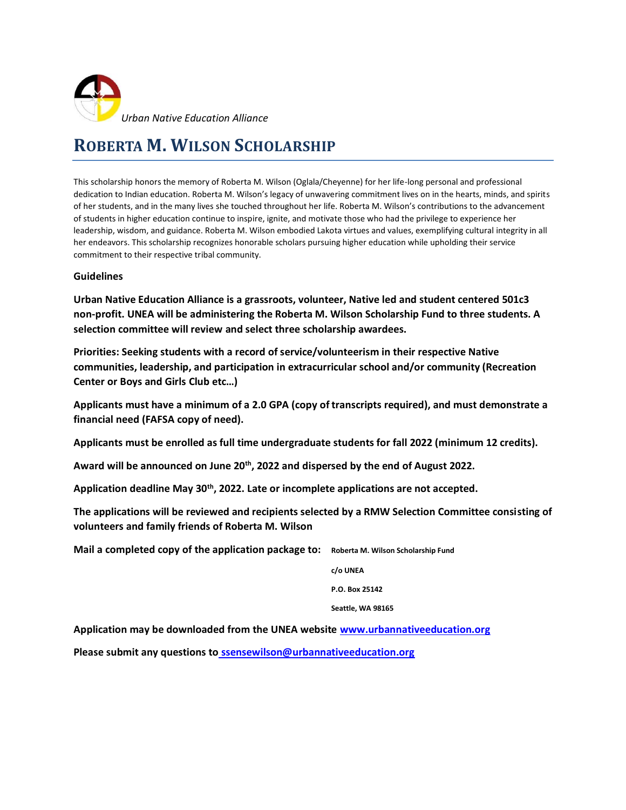

### **ROBERTA M. WILSON SCHOLARSHIP**

This scholarship honors the memory of Roberta M. Wilson (Oglala/Cheyenne) for her life-long personal and professional dedication to Indian education. Roberta M. Wilson's legacy of unwavering commitment lives on in the hearts, minds, and spirits of her students, and in the many lives she touched throughout her life. Roberta M. Wilson's contributions to the advancement of students in higher education continue to inspire, ignite, and motivate those who had the privilege to experience her leadership, wisdom, and guidance. Roberta M. Wilson embodied Lakota virtues and values, exemplifying cultural integrity in all her endeavors. This scholarship recognizes honorable scholars pursuing higher education while upholding their service commitment to their respective tribal community.

#### **Guidelines**

**Urban Native Education Alliance is a grassroots, volunteer, Native led and student centered 501c3 non-profit. UNEA will be administering the Roberta M. Wilson Scholarship Fund to three students. A selection committee will review and select three scholarship awardees.**

**Priorities: Seeking students with a record of service/volunteerism in their respective Native communities, leadership, and participation in extracurricular school and/or community (Recreation Center or Boys and Girls Club etc…)**

**Applicants must have a minimum of a 2.0 GPA (copy of transcripts required), and must demonstrate a financial need (FAFSA copy of need).** 

**Applicants must be enrolled as full time undergraduate students for fall 2022 (minimum 12 credits).**

**Award will be announced on June 20th, 2022 and dispersed by the end of August 2022.**

**Application deadline May 30th, 2022. Late or incomplete applications are not accepted.**

**The applications will be reviewed and recipients selected by a RMW Selection Committee consisting of volunteers and family friends of Roberta M. Wilson** 

**Mail a completed copy of the application package to: Roberta M. Wilson Scholarship Fund**

**c/o UNEA**

**P.O. Box 25142**

**Seattle, WA 98165**

**Application may be downloaded from the UNEA website [www.urbannativeeducation.org](http://www.urbannativeeducation.org/)**

**Please submit any questions to [ssensewilson@urbannativeeducation.org](mailto:ssensewilson@urbannativeeducation.org)**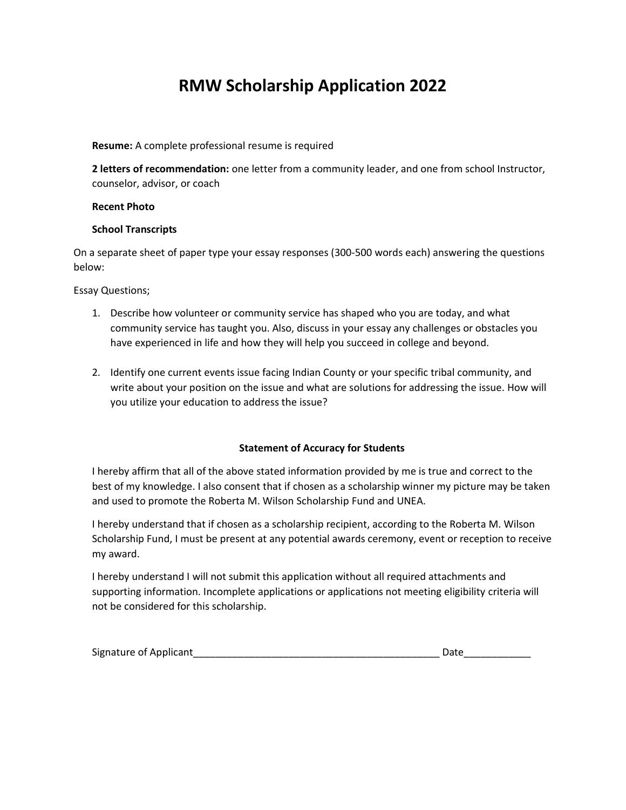## **RMW Scholarship Application 2022**

#### **Resume:** A complete professional resume is required

**2 letters of recommendation:** one letter from a community leader, and one from school Instructor, counselor, advisor, or coach

#### **Recent Photo**

#### **School Transcripts**

On a separate sheet of paper type your essay responses (300-500 words each) answering the questions below:

#### Essay Questions;

- 1. Describe how volunteer or community service has shaped who you are today, and what community service has taught you. Also, discuss in your essay any challenges or obstacles you have experienced in life and how they will help you succeed in college and beyond.
- 2. Identify one current events issue facing Indian County or your specific tribal community, and write about your position on the issue and what are solutions for addressing the issue. How will you utilize your education to address the issue?

#### **Statement of Accuracy for Students**

I hereby affirm that all of the above stated information provided by me is true and correct to the best of my knowledge. I also consent that if chosen as a scholarship winner my picture may be taken and used to promote the Roberta M. Wilson Scholarship Fund and UNEA.

I hereby understand that if chosen as a scholarship recipient, according to the Roberta M. Wilson Scholarship Fund, I must be present at any potential awards ceremony, event or reception to receive my award.

I hereby understand I will not submit this application without all required attachments and supporting information. Incomplete applications or applications not meeting eligibility criteria will not be considered for this scholarship.

| Signature of Applicant |  |
|------------------------|--|
|                        |  |